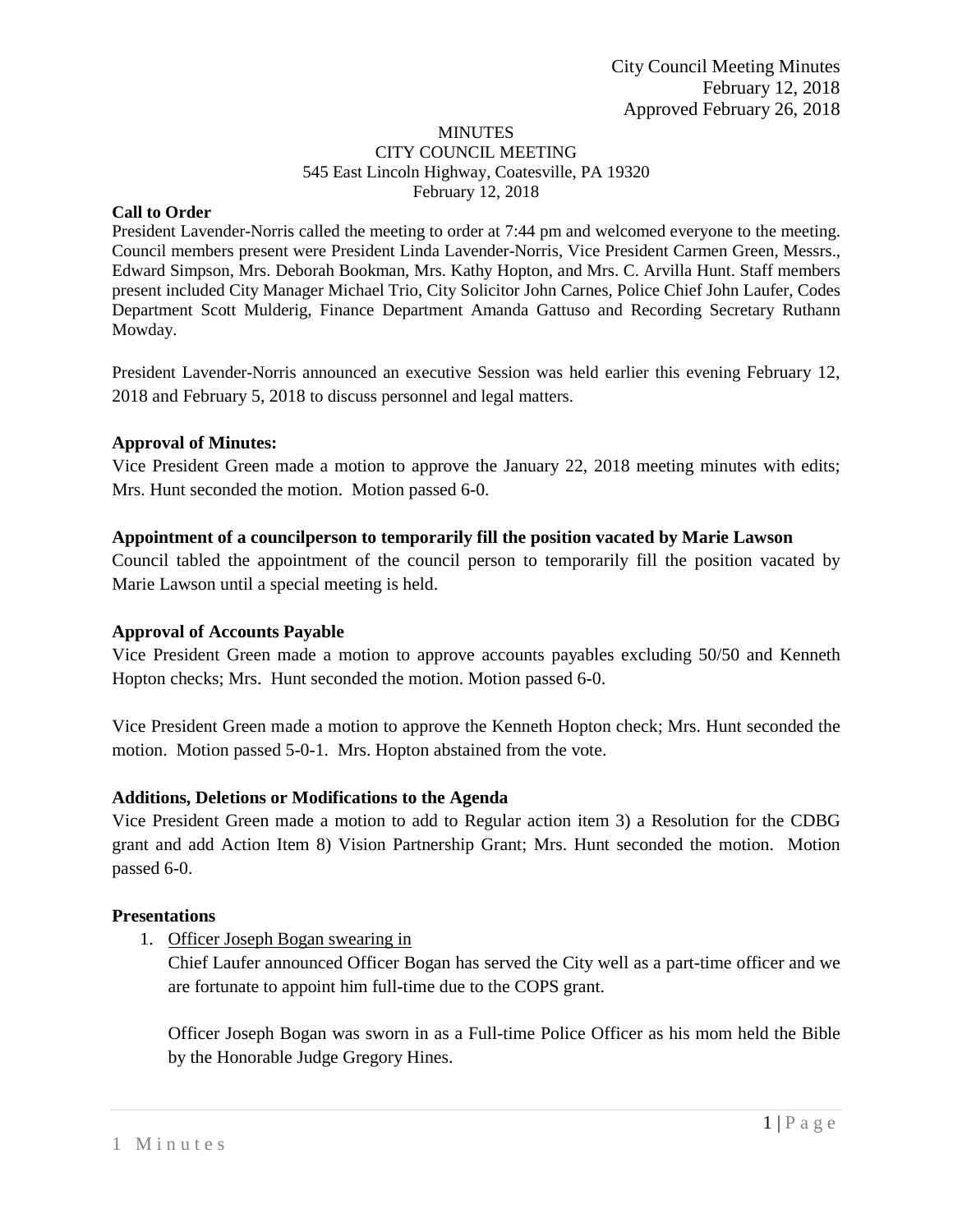#### **MINUTES** CITY COUNCIL MEETING 545 East Lincoln Highway, Coatesville, PA 19320 February 12, 2018

#### **Call to Order**

President Lavender-Norris called the meeting to order at 7:44 pm and welcomed everyone to the meeting. Council members present were President Linda Lavender-Norris, Vice President Carmen Green, Messrs., Edward Simpson, Mrs. Deborah Bookman, Mrs. Kathy Hopton, and Mrs. C. Arvilla Hunt. Staff members present included City Manager Michael Trio, City Solicitor John Carnes, Police Chief John Laufer, Codes Department Scott Mulderig, Finance Department Amanda Gattuso and Recording Secretary Ruthann Mowday.

President Lavender-Norris announced an executive Session was held earlier this evening February 12, 2018 and February 5, 2018 to discuss personnel and legal matters.

#### **Approval of Minutes:**

Vice President Green made a motion to approve the January 22, 2018 meeting minutes with edits; Mrs. Hunt seconded the motion. Motion passed 6-0.

### **Appointment of a councilperson to temporarily fill the position vacated by Marie Lawson**

Council tabled the appointment of the council person to temporarily fill the position vacated by Marie Lawson until a special meeting is held.

### **Approval of Accounts Payable**

Vice President Green made a motion to approve accounts payables excluding 50/50 and Kenneth Hopton checks; Mrs. Hunt seconded the motion. Motion passed 6-0.

Vice President Green made a motion to approve the Kenneth Hopton check; Mrs. Hunt seconded the motion. Motion passed 5-0-1. Mrs. Hopton abstained from the vote.

#### **Additions, Deletions or Modifications to the Agenda**

Vice President Green made a motion to add to Regular action item 3) a Resolution for the CDBG grant and add Action Item 8) Vision Partnership Grant; Mrs. Hunt seconded the motion. Motion passed 6-0.

#### **Presentations**

1. Officer Joseph Bogan swearing in

Chief Laufer announced Officer Bogan has served the City well as a part-time officer and we are fortunate to appoint him full-time due to the COPS grant.

Officer Joseph Bogan was sworn in as a Full-time Police Officer as his mom held the Bible by the Honorable Judge Gregory Hines.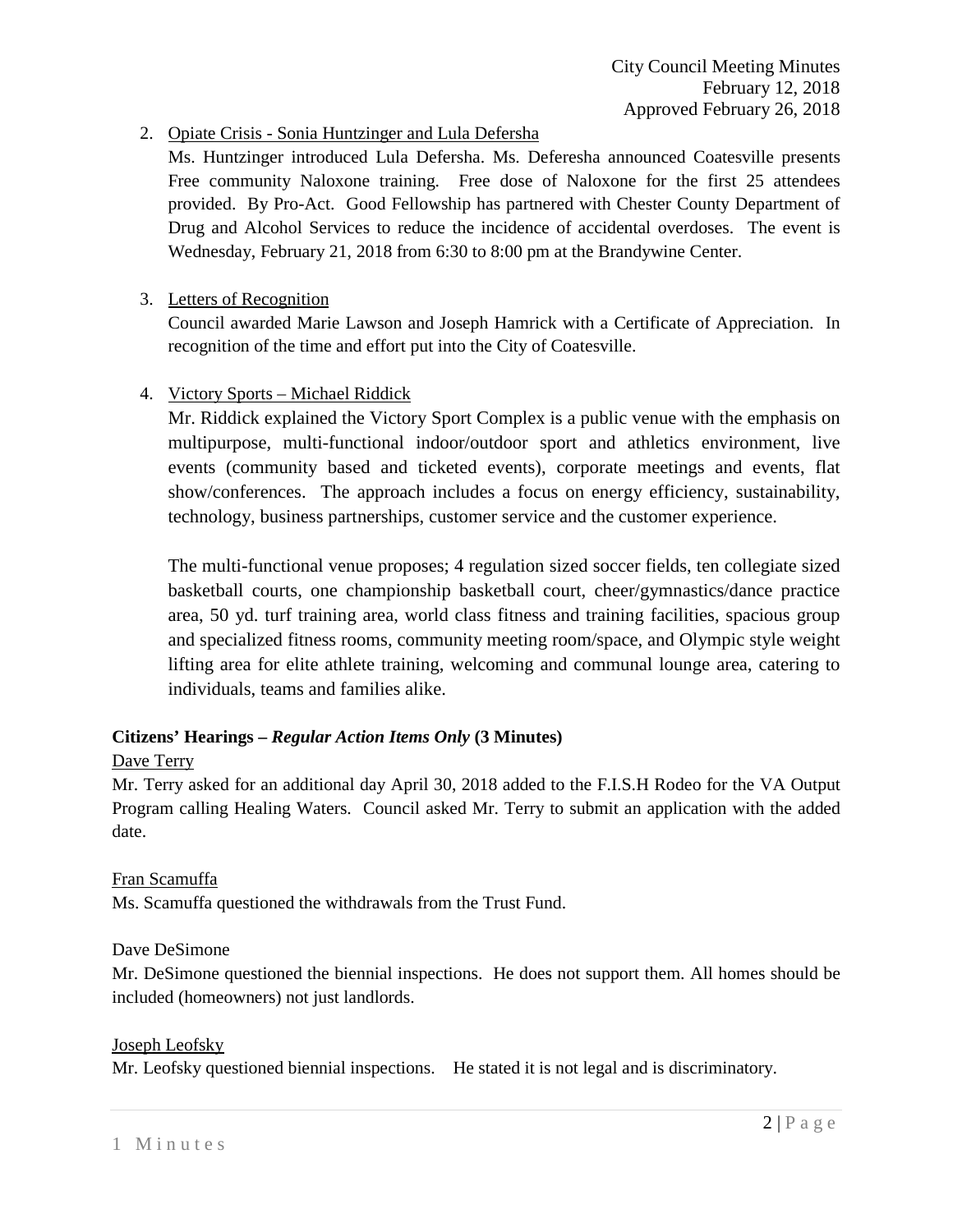# 2. Opiate Crisis - Sonia Huntzinger and Lula Defersha

Ms. Huntzinger introduced Lula Defersha. Ms. Deferesha announced Coatesville presents Free community Naloxone training. Free dose of Naloxone for the first 25 attendees provided. By Pro-Act. Good Fellowship has partnered with Chester County Department of Drug and Alcohol Services to reduce the incidence of accidental overdoses. The event is Wednesday, February 21, 2018 from 6:30 to 8:00 pm at the Brandywine Center.

## 3. Letters of Recognition

Council awarded Marie Lawson and Joseph Hamrick with a Certificate of Appreciation. In recognition of the time and effort put into the City of Coatesville.

## 4. Victory Sports – Michael Riddick

Mr. Riddick explained the Victory Sport Complex is a public venue with the emphasis on multipurpose, multi-functional indoor/outdoor sport and athletics environment, live events (community based and ticketed events), corporate meetings and events, flat show/conferences. The approach includes a focus on energy efficiency, sustainability, technology, business partnerships, customer service and the customer experience.

The multi-functional venue proposes; 4 regulation sized soccer fields, ten collegiate sized basketball courts, one championship basketball court, cheer/gymnastics/dance practice area, 50 yd. turf training area, world class fitness and training facilities, spacious group and specialized fitness rooms, community meeting room/space, and Olympic style weight lifting area for elite athlete training, welcoming and communal lounge area, catering to individuals, teams and families alike.

## **Citizens' Hearings –** *Regular Action Items Only* **(3 Minutes)**

### Dave Terry

Mr. Terry asked for an additional day April 30, 2018 added to the F.I.S.H Rodeo for the VA Output Program calling Healing Waters. Council asked Mr. Terry to submit an application with the added date.

### Fran Scamuffa

Ms. Scamuffa questioned the withdrawals from the Trust Fund.

### Dave DeSimone

Mr. DeSimone questioned the biennial inspections. He does not support them. All homes should be included (homeowners) not just landlords.

### Joseph Leofsky

Mr. Leofsky questioned biennial inspections. He stated it is not legal and is discriminatory.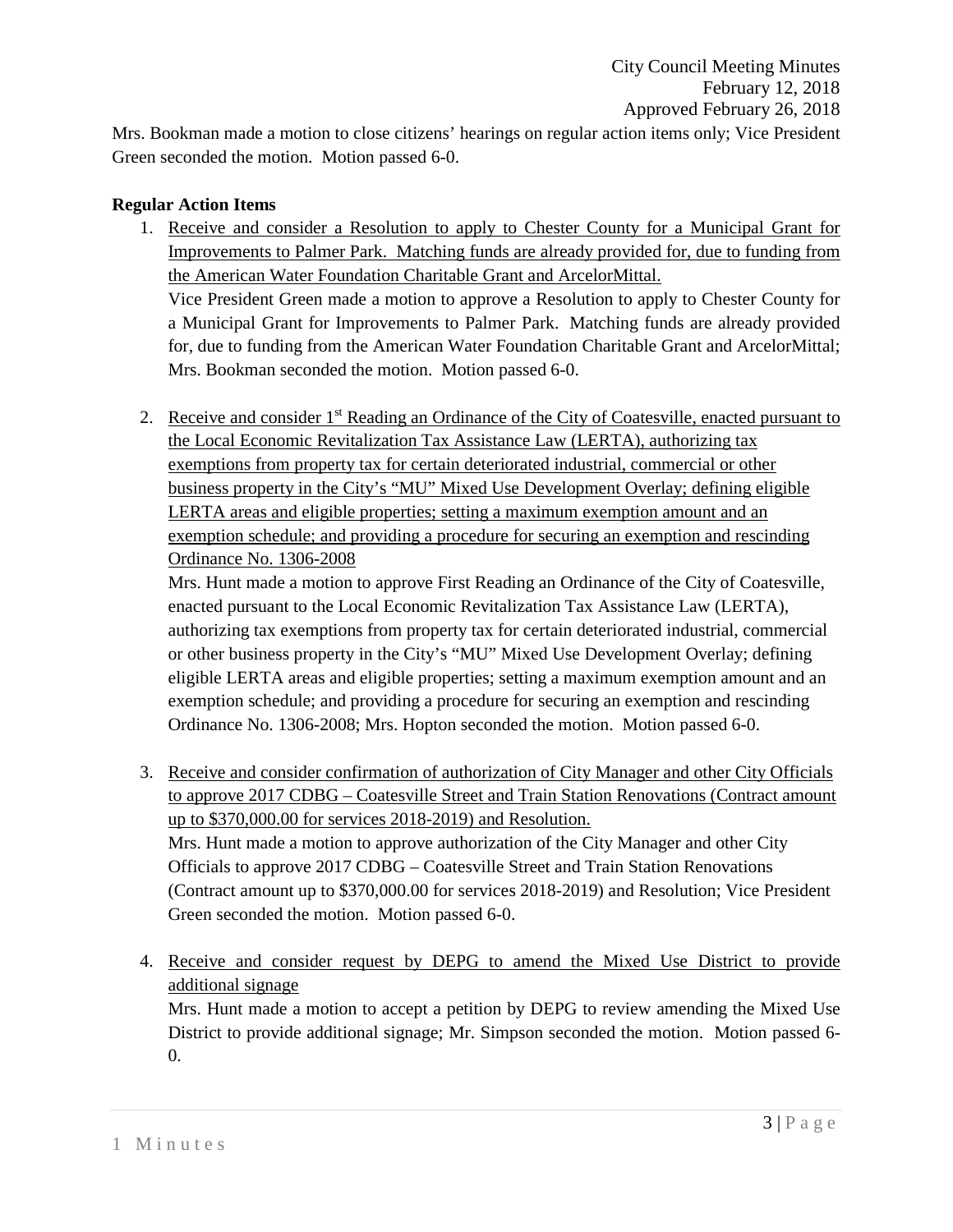Mrs. Bookman made a motion to close citizens' hearings on regular action items only; Vice President Green seconded the motion. Motion passed 6-0.

### **Regular Action Items**

1. Receive and consider a Resolution to apply to Chester County for a Municipal Grant for Improvements to Palmer Park. Matching funds are already provided for, due to funding from the American Water Foundation Charitable Grant and ArcelorMittal. Vice President Green made a motion to approve a Resolution to apply to Chester County for a Municipal Grant for Improvements to Palmer Park. Matching funds are already provided

for, due to funding from the American Water Foundation Charitable Grant and ArcelorMittal; Mrs. Bookman seconded the motion. Motion passed 6-0.

2. Receive and consider 1<sup>st</sup> Reading an Ordinance of the City of Coatesville, enacted pursuant to the Local Economic Revitalization Tax Assistance Law (LERTA), authorizing tax exemptions from property tax for certain deteriorated industrial, commercial or other business property in the City's "MU" Mixed Use Development Overlay; defining eligible LERTA areas and eligible properties; setting a maximum exemption amount and an exemption schedule; and providing a procedure for securing an exemption and rescinding Ordinance No. 1306-2008

Mrs. Hunt made a motion to approve First Reading an Ordinance of the City of Coatesville, enacted pursuant to the Local Economic Revitalization Tax Assistance Law (LERTA), authorizing tax exemptions from property tax for certain deteriorated industrial, commercial or other business property in the City's "MU" Mixed Use Development Overlay; defining eligible LERTA areas and eligible properties; setting a maximum exemption amount and an exemption schedule; and providing a procedure for securing an exemption and rescinding Ordinance No. 1306-2008; Mrs. Hopton seconded the motion. Motion passed 6-0.

- 3. Receive and consider confirmation of authorization of City Manager and other City Officials to approve 2017 CDBG – Coatesville Street and Train Station Renovations (Contract amount up to \$370,000.00 for services 2018-2019) and Resolution. Mrs. Hunt made a motion to approve authorization of the City Manager and other City Officials to approve 2017 CDBG – Coatesville Street and Train Station Renovations (Contract amount up to \$370,000.00 for services 2018-2019) and Resolution; Vice President Green seconded the motion. Motion passed 6-0.
- 4. Receive and consider request by DEPG to amend the Mixed Use District to provide additional signage

Mrs. Hunt made a motion to accept a petition by DEPG to review amending the Mixed Use District to provide additional signage; Mr. Simpson seconded the motion. Motion passed 6- 0.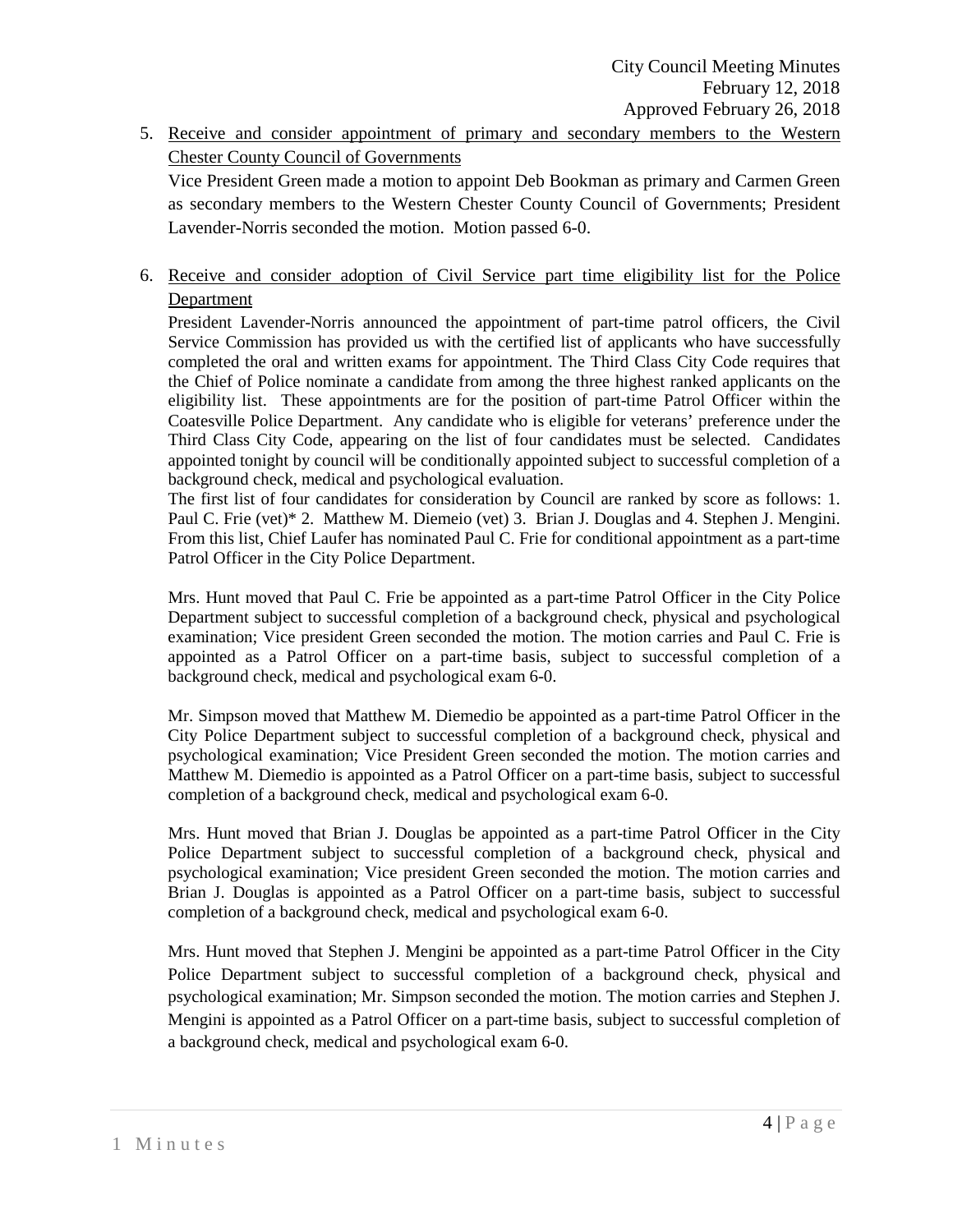5. Receive and consider appointment of primary and secondary members to the Western Chester County Council of Governments

Vice President Green made a motion to appoint Deb Bookman as primary and Carmen Green as secondary members to the Western Chester County Council of Governments; President Lavender-Norris seconded the motion. Motion passed 6-0.

6. Receive and consider adoption of Civil Service part time eligibility list for the Police Department

President Lavender-Norris announced the appointment of part-time patrol officers, the Civil Service Commission has provided us with the certified list of applicants who have successfully completed the oral and written exams for appointment. The Third Class City Code requires that the Chief of Police nominate a candidate from among the three highest ranked applicants on the eligibility list. These appointments are for the position of part-time Patrol Officer within the Coatesville Police Department. Any candidate who is eligible for veterans' preference under the Third Class City Code, appearing on the list of four candidates must be selected. Candidates appointed tonight by council will be conditionally appointed subject to successful completion of a background check, medical and psychological evaluation.

The first list of four candidates for consideration by Council are ranked by score as follows: 1. Paul C. Frie (vet)\* 2. Matthew M. Diemeio (vet) 3. Brian J. Douglas and 4. Stephen J. Mengini. From this list, Chief Laufer has nominated Paul C. Frie for conditional appointment as a part-time Patrol Officer in the City Police Department.

Mrs. Hunt moved that Paul C. Frie be appointed as a part-time Patrol Officer in the City Police Department subject to successful completion of a background check, physical and psychological examination; Vice president Green seconded the motion. The motion carries and Paul C. Frie is appointed as a Patrol Officer on a part-time basis, subject to successful completion of a background check, medical and psychological exam 6-0.

Mr. Simpson moved that Matthew M. Diemedio be appointed as a part-time Patrol Officer in the City Police Department subject to successful completion of a background check, physical and psychological examination; Vice President Green seconded the motion. The motion carries and Matthew M. Diemedio is appointed as a Patrol Officer on a part-time basis, subject to successful completion of a background check, medical and psychological exam 6-0.

Mrs. Hunt moved that Brian J. Douglas be appointed as a part-time Patrol Officer in the City Police Department subject to successful completion of a background check, physical and psychological examination; Vice president Green seconded the motion. The motion carries and Brian J. Douglas is appointed as a Patrol Officer on a part-time basis, subject to successful completion of a background check, medical and psychological exam 6-0.

Mrs. Hunt moved that Stephen J. Mengini be appointed as a part-time Patrol Officer in the City Police Department subject to successful completion of a background check, physical and psychological examination; Mr. Simpson seconded the motion. The motion carries and Stephen J. Mengini is appointed as a Patrol Officer on a part-time basis, subject to successful completion of a background check, medical and psychological exam 6-0.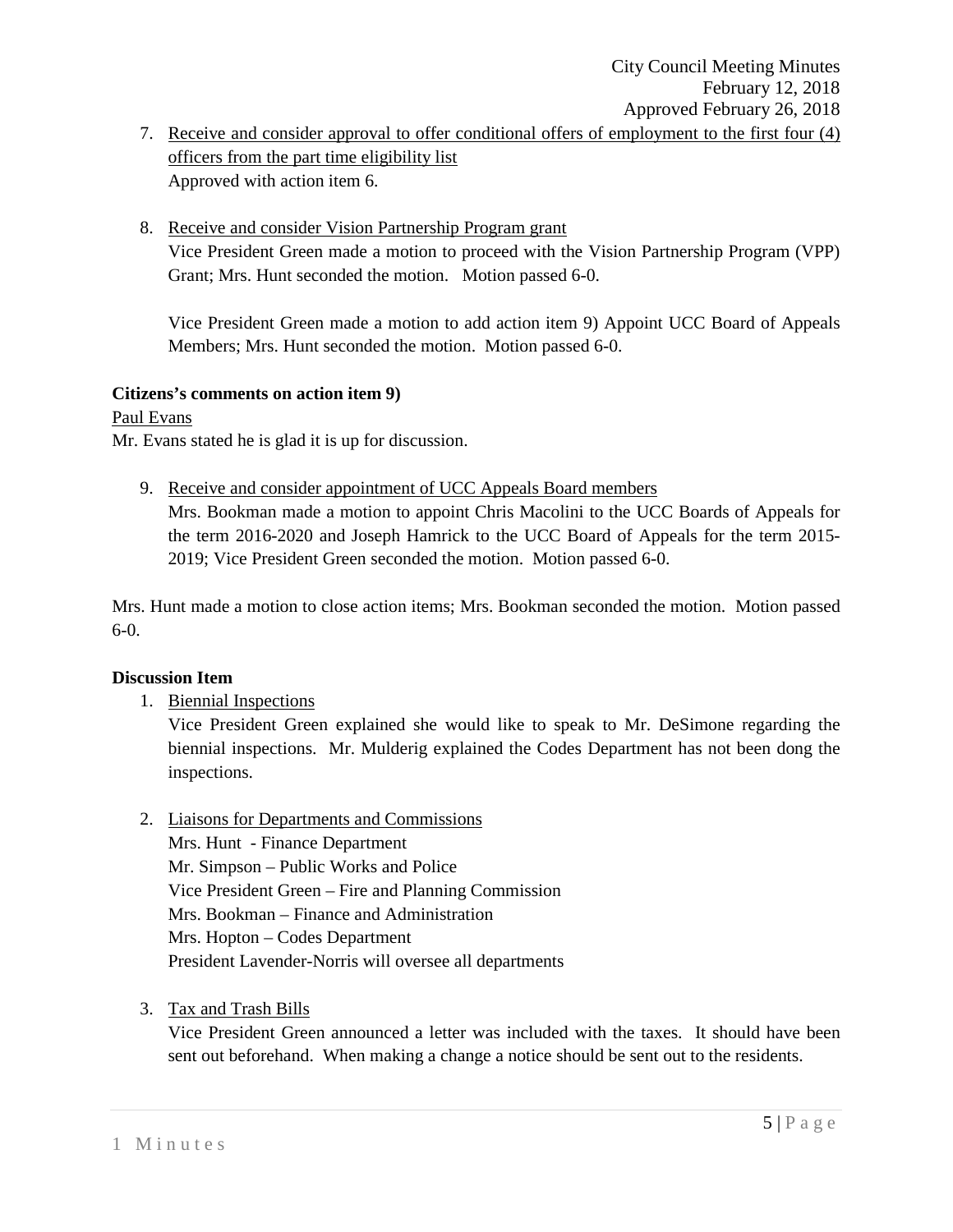- 7. Receive and consider approval to offer conditional offers of employment to the first four (4) officers from the part time eligibility list Approved with action item 6.
- 8. Receive and consider Vision Partnership Program grant Vice President Green made a motion to proceed with the Vision Partnership Program (VPP) Grant; Mrs. Hunt seconded the motion. Motion passed 6-0.

Vice President Green made a motion to add action item 9) Appoint UCC Board of Appeals Members; Mrs. Hunt seconded the motion. Motion passed 6-0.

### **Citizens's comments on action item 9)**

Paul Evans

Mr. Evans stated he is glad it is up for discussion.

9. Receive and consider appointment of UCC Appeals Board members

Mrs. Bookman made a motion to appoint Chris Macolini to the UCC Boards of Appeals for the term 2016-2020 and Joseph Hamrick to the UCC Board of Appeals for the term 2015- 2019; Vice President Green seconded the motion. Motion passed 6-0.

Mrs. Hunt made a motion to close action items; Mrs. Bookman seconded the motion. Motion passed 6-0.

### **Discussion Item**

1. Biennial Inspections

Vice President Green explained she would like to speak to Mr. DeSimone regarding the biennial inspections. Mr. Mulderig explained the Codes Department has not been dong the inspections.

2. Liaisons for Departments and Commissions

Mrs. Hunt - Finance Department Mr. Simpson – Public Works and Police Vice President Green – Fire and Planning Commission Mrs. Bookman – Finance and Administration Mrs. Hopton – Codes Department President Lavender-Norris will oversee all departments

3. Tax and Trash Bills

Vice President Green announced a letter was included with the taxes. It should have been sent out beforehand. When making a change a notice should be sent out to the residents.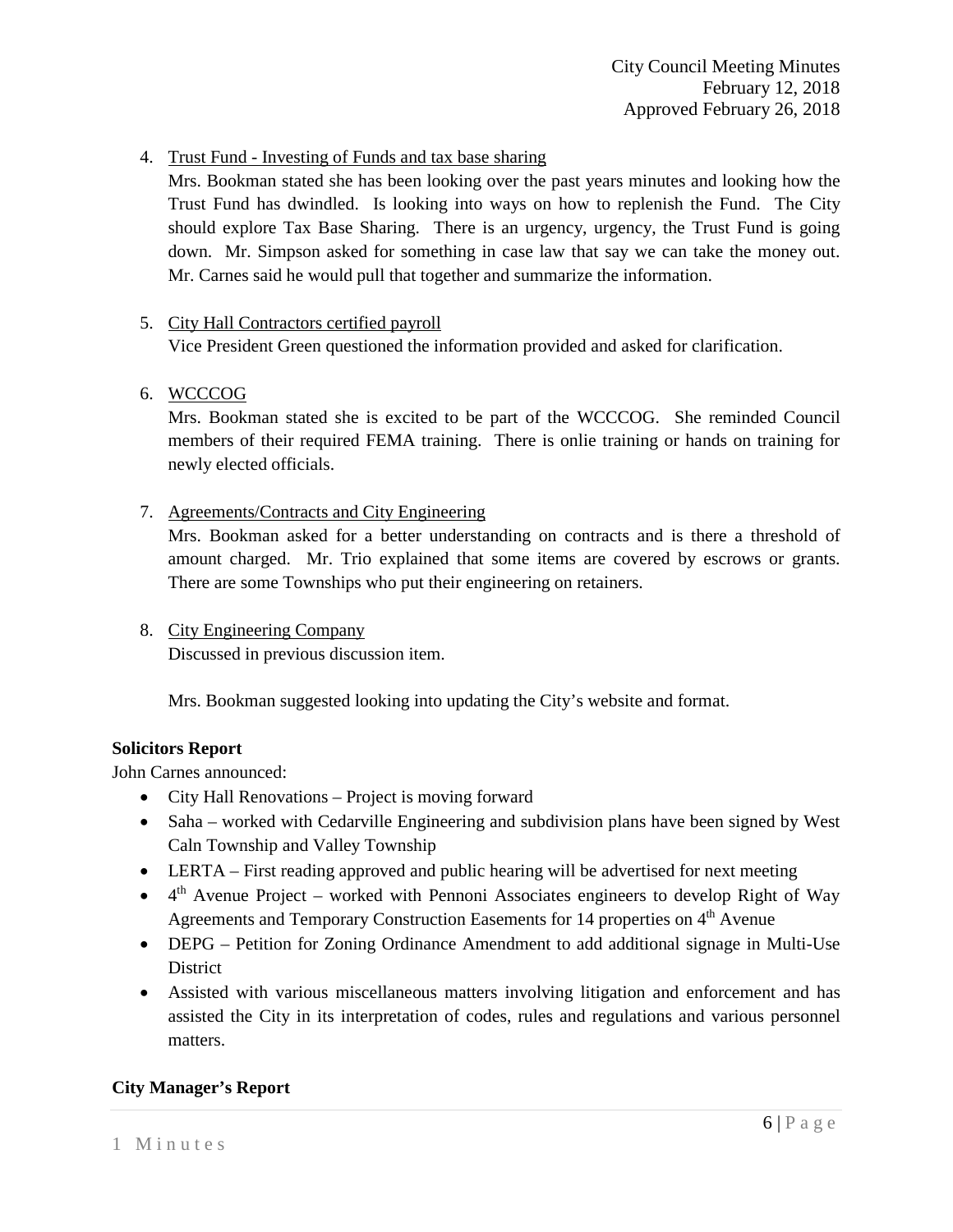4. Trust Fund - Investing of Funds and tax base sharing

Mrs. Bookman stated she has been looking over the past years minutes and looking how the Trust Fund has dwindled. Is looking into ways on how to replenish the Fund. The City should explore Tax Base Sharing. There is an urgency, urgency, the Trust Fund is going down. Mr. Simpson asked for something in case law that say we can take the money out. Mr. Carnes said he would pull that together and summarize the information.

### 5. City Hall Contractors certified payroll

Vice President Green questioned the information provided and asked for clarification.

6. WCCCOG

Mrs. Bookman stated she is excited to be part of the WCCCOG. She reminded Council members of their required FEMA training. There is onlie training or hands on training for newly elected officials.

7. Agreements/Contracts and City Engineering

Mrs. Bookman asked for a better understanding on contracts and is there a threshold of amount charged. Mr. Trio explained that some items are covered by escrows or grants. There are some Townships who put their engineering on retainers.

8. City Engineering Company Discussed in previous discussion item.

Mrs. Bookman suggested looking into updating the City's website and format.

### **Solicitors Report**

John Carnes announced:

- City Hall Renovations Project is moving forward
- Saha worked with Cedarville Engineering and subdivision plans have been signed by West Caln Township and Valley Township
- LERTA First reading approved and public hearing will be advertised for next meeting
- $\bullet$  4<sup>th</sup> Avenue Project worked with Pennoni Associates engineers to develop Right of Way Agreements and Temporary Construction Easements for 14 properties on 4<sup>th</sup> Avenue
- DEPG Petition for Zoning Ordinance Amendment to add additional signage in Multi-Use District
- Assisted with various miscellaneous matters involving litigation and enforcement and has assisted the City in its interpretation of codes, rules and regulations and various personnel matters.

## **City Manager's Report**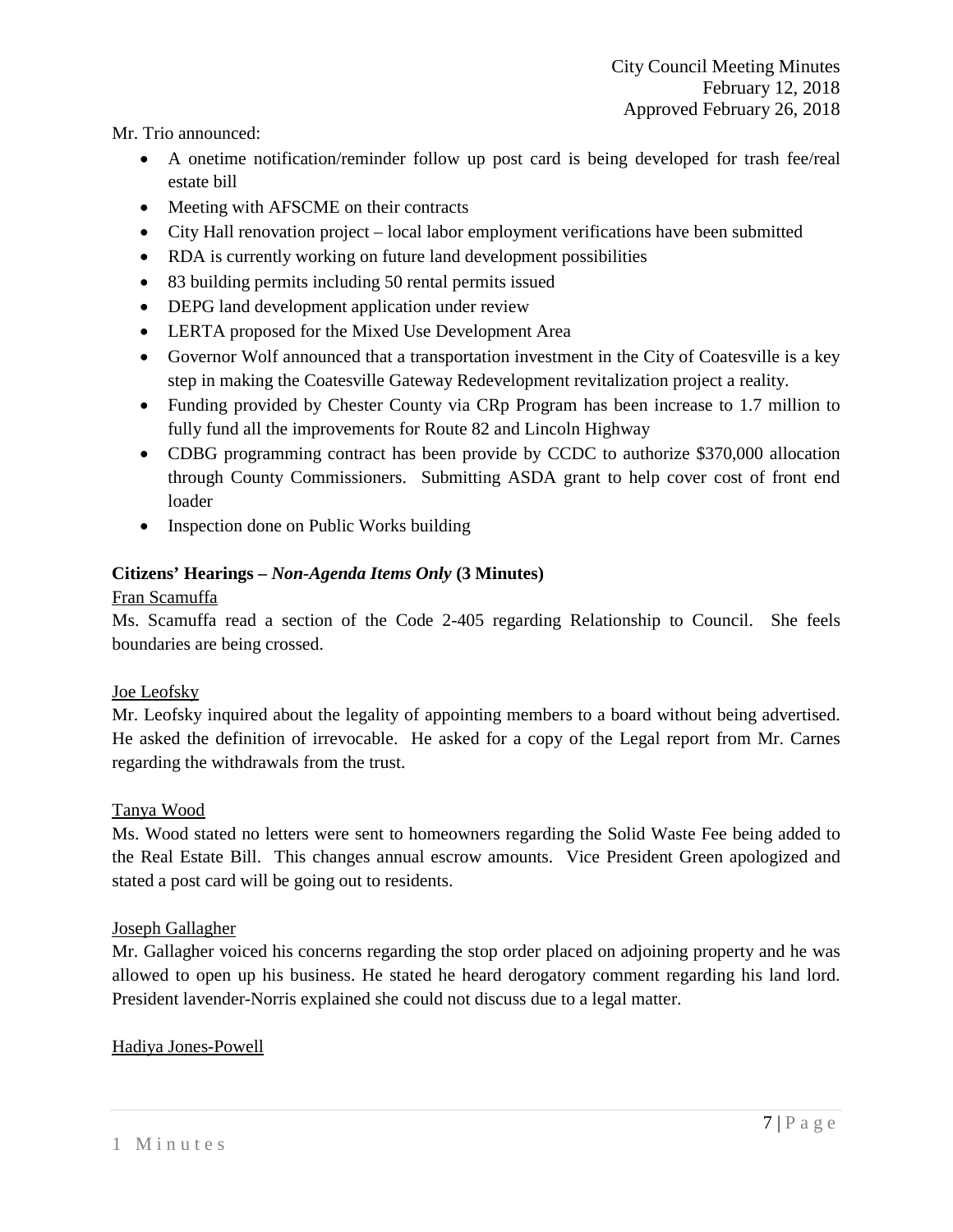Mr. Trio announced:

- A onetime notification/reminder follow up post card is being developed for trash fee/real estate bill
- Meeting with AFSCME on their contracts
- City Hall renovation project local labor employment verifications have been submitted
- RDA is currently working on future land development possibilities
- 83 building permits including 50 rental permits issued
- DEPG land development application under review
- LERTA proposed for the Mixed Use Development Area
- Governor Wolf announced that a transportation investment in the City of Coatesville is a key step in making the Coatesville Gateway Redevelopment revitalization project a reality.
- Funding provided by Chester County via CR<sub>p</sub> Program has been increase to 1.7 million to fully fund all the improvements for Route 82 and Lincoln Highway
- CDBG programming contract has been provide by CCDC to authorize \$370,000 allocation through County Commissioners. Submitting ASDA grant to help cover cost of front end loader
- Inspection done on Public Works building

## **Citizens' Hearings –** *Non-Agenda Items Only* **(3 Minutes)**

### Fran Scamuffa

Ms. Scamuffa read a section of the Code 2-405 regarding Relationship to Council. She feels boundaries are being crossed.

## Joe Leofsky

Mr. Leofsky inquired about the legality of appointing members to a board without being advertised. He asked the definition of irrevocable. He asked for a copy of the Legal report from Mr. Carnes regarding the withdrawals from the trust.

### Tanya Wood

Ms. Wood stated no letters were sent to homeowners regarding the Solid Waste Fee being added to the Real Estate Bill. This changes annual escrow amounts. Vice President Green apologized and stated a post card will be going out to residents.

## Joseph Gallagher

Mr. Gallagher voiced his concerns regarding the stop order placed on adjoining property and he was allowed to open up his business. He stated he heard derogatory comment regarding his land lord. President lavender-Norris explained she could not discuss due to a legal matter.

## Hadiya Jones-Powell